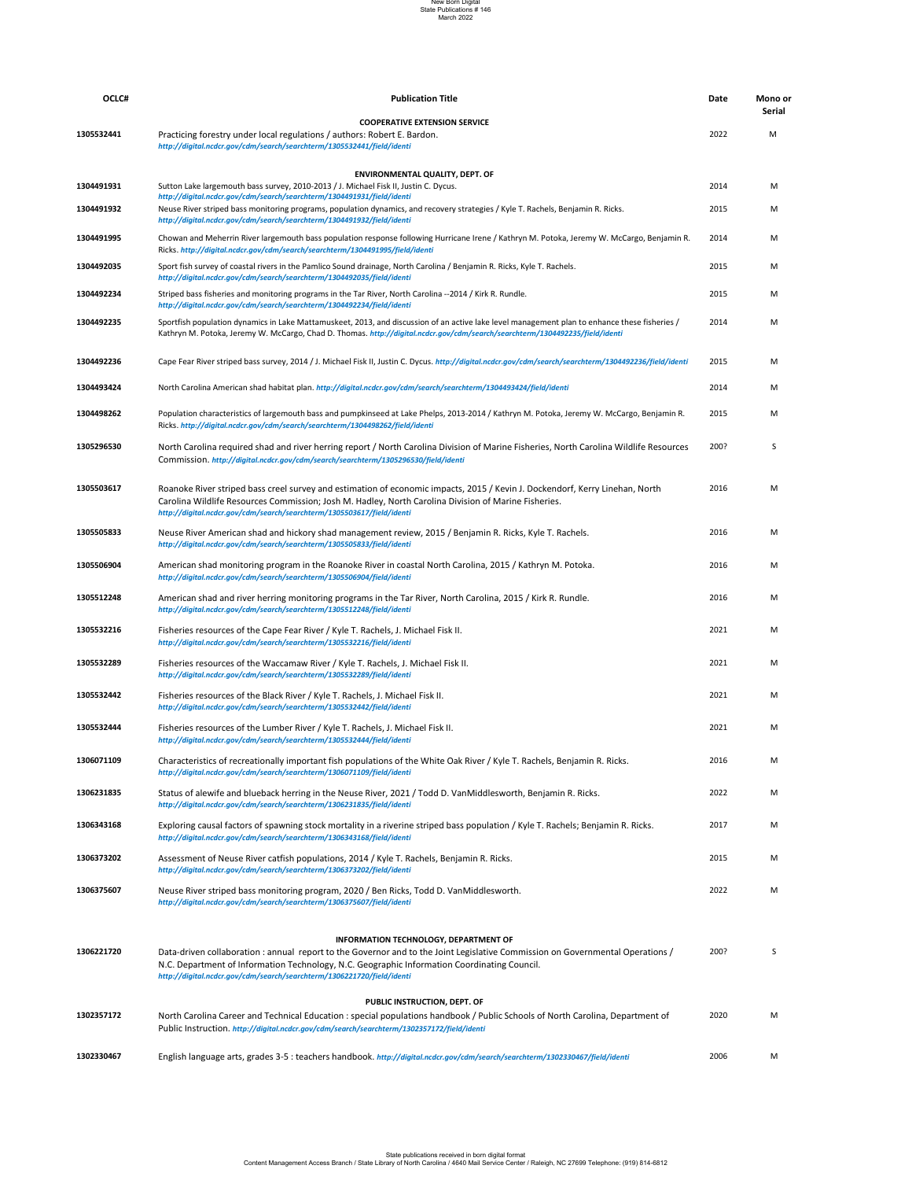|            | http://digital.ncdcr.gov/cdm/search/searchterm/1305532444/field/identi                                                                                                                                                                                                                                                                                  |      |   |
|------------|---------------------------------------------------------------------------------------------------------------------------------------------------------------------------------------------------------------------------------------------------------------------------------------------------------------------------------------------------------|------|---|
| 1306071109 | Characteristics of recreationally important fish populations of the White Oak River / Kyle T. Rachels, Benjamin R. Ricks.<br>http://digital.ncdcr.gov/cdm/search/searchterm/1306071109/field/identi                                                                                                                                                     | 2016 | M |
| 1306231835 | Status of alewife and blueback herring in the Neuse River, 2021 / Todd D. VanMiddlesworth, Benjamin R. Ricks.<br>http://digital.ncdcr.gov/cdm/search/searchterm/1306231835/field/identi                                                                                                                                                                 | 2022 | M |
| 1306343168 | Exploring causal factors of spawning stock mortality in a riverine striped bass population / Kyle T. Rachels; Benjamin R. Ricks.<br>http://digital.ncdcr.gov/cdm/search/searchterm/1306343168/field/identi                                                                                                                                              | 2017 | M |
| 1306373202 | Assessment of Neuse River catfish populations, 2014 / Kyle T. Rachels, Benjamin R. Ricks.<br>http://digital.ncdcr.gov/cdm/search/searchterm/1306373202/field/identi                                                                                                                                                                                     | 2015 | M |
| 1306375607 | Neuse River striped bass monitoring program, 2020 / Ben Ricks, Todd D. VanMiddlesworth.<br>http://digital.ncdcr.gov/cdm/search/searchterm/1306375607/field/identi                                                                                                                                                                                       | 2022 | M |
| 1306221720 | <b>INFORMATION TECHNOLOGY, DEPARTMENT OF</b><br>Data-driven collaboration: annual report to the Governor and to the Joint Legislative Commission on Governmental Operations /<br>N.C. Department of Information Technology, N.C. Geographic Information Coordinating Council.<br>http://digital.ncdcr.gov/cdm/search/searchterm/1306221720/field/identi | 200? | S |
| 1302357172 | PUBLIC INSTRUCTION, DEPT. OF<br>North Carolina Career and Technical Education: special populations handbook / Public Schools of North Carolina, Department of<br>Public Instruction. http://digital.ncdcr.gov/cdm/search/searchterm/1302357172/field/identi                                                                                             | 2020 | M |
| 1302330467 | English language arts, grades 3-5 : teachers handbook. http://digital.ncdcr.gov/cdm/search/searchterm/1302330467/field/identi                                                                                                                                                                                                                           | 2006 | M |

| OCLC#      | <b>Publication Title</b>                                                                                                                                                                                                                                                                                       | <b>Date</b> | Mono or            |
|------------|----------------------------------------------------------------------------------------------------------------------------------------------------------------------------------------------------------------------------------------------------------------------------------------------------------------|-------------|--------------------|
| 1305532441 | <b>COOPERATIVE EXTENSION SERVICE</b><br>Practicing forestry under local regulations / authors: Robert E. Bardon.                                                                                                                                                                                               | 2022        | <b>Serial</b><br>M |
|            | http://digital.ncdcr.gov/cdm/search/searchterm/1305532441/field/identi                                                                                                                                                                                                                                         |             |                    |
|            | <b>ENVIRONMENTAL QUALITY, DEPT. OF</b>                                                                                                                                                                                                                                                                         |             |                    |
| 1304491931 | Sutton Lake largemouth bass survey, 2010-2013 / J. Michael Fisk II, Justin C. Dycus.<br>http://digital.ncdcr.gov/cdm/search/searchterm/1304491931/field/identi                                                                                                                                                 | 2014        | M                  |
| 1304491932 | Neuse River striped bass monitoring programs, population dynamics, and recovery strategies / Kyle T. Rachels, Benjamin R. Ricks.<br>http://digital.ncdcr.gov/cdm/search/searchterm/1304491932/field/identi                                                                                                     | 2015        | M                  |
| 1304491995 | Chowan and Meherrin River largemouth bass population response following Hurricane Irene / Kathryn M. Potoka, Jeremy W. McCargo, Benjamin R.<br>Ricks. http://digital.ncdcr.gov/cdm/search/searchterm/1304491995/field/identi                                                                                   | 2014        | M                  |
| 1304492035 | Sport fish survey of coastal rivers in the Pamlico Sound drainage, North Carolina / Benjamin R. Ricks, Kyle T. Rachels.<br>http://digital.ncdcr.gov/cdm/search/searchterm/1304492035/field/identi                                                                                                              | 2015        | M                  |
| 1304492234 | Striped bass fisheries and monitoring programs in the Tar River, North Carolina --2014 / Kirk R. Rundle.<br>http://digital.ncdcr.gov/cdm/search/searchterm/1304492234/field/identi                                                                                                                             | 2015        | M                  |
| 1304492235 | Sportfish population dynamics in Lake Mattamuskeet, 2013, and discussion of an active lake level management plan to enhance these fisheries /<br>Kathryn M. Potoka, Jeremy W. McCargo, Chad D. Thomas. http://digital.ncdcr.gov/cdm/search/searchterm/1304492235/field/identi                                  | 2014        | M                  |
| 1304492236 | Cape Fear River striped bass survey, 2014 / J. Michael Fisk II, Justin C. Dycus. http://digital.ncdcr.gov/cdm/search/searchterm/1304492236/field/identi                                                                                                                                                        | 2015        | M                  |
| 1304493424 | North Carolina American shad habitat plan. http://digital.ncdcr.gov/cdm/search/searchterm/1304493424/field/identi                                                                                                                                                                                              | 2014        | M                  |
| 1304498262 | Population characteristics of largemouth bass and pumpkinseed at Lake Phelps, 2013-2014 / Kathryn M. Potoka, Jeremy W. McCargo, Benjamin R.<br>Ricks. http://digital.ncdcr.gov/cdm/search/searchterm/1304498262/field/identi                                                                                   | 2015        | M                  |
| 1305296530 | North Carolina required shad and river herring report / North Carolina Division of Marine Fisheries, North Carolina Wildlife Resources<br>Commission. http://digital.ncdcr.gov/cdm/search/searchterm/1305296530/field/identi                                                                                   | 200?        | S                  |
| 1305503617 | Roanoke River striped bass creel survey and estimation of economic impacts, 2015 / Kevin J. Dockendorf, Kerry Linehan, North<br>Carolina Wildlife Resources Commission; Josh M. Hadley, North Carolina Division of Marine Fisheries.<br>http://digital.ncdcr.gov/cdm/search/searchterm/1305503617/field/identi | 2016        | M                  |
| 1305505833 | Neuse River American shad and hickory shad management review, 2015 / Benjamin R. Ricks, Kyle T. Rachels.<br>http://digital.ncdcr.gov/cdm/search/searchterm/1305505833/field/identi                                                                                                                             | 2016        | M                  |
| 1305506904 | American shad monitoring program in the Roanoke River in coastal North Carolina, 2015 / Kathryn M. Potoka.<br>http://digital.ncdcr.gov/cdm/search/searchterm/1305506904/field/identi                                                                                                                           | 2016        | M                  |
| 1305512248 | American shad and river herring monitoring programs in the Tar River, North Carolina, 2015 / Kirk R. Rundle.<br>http://digital.ncdcr.gov/cdm/search/searchterm/1305512248/field/identi                                                                                                                         | 2016        | M                  |
| 1305532216 | Fisheries resources of the Cape Fear River / Kyle T. Rachels, J. Michael Fisk II.<br>http://digital.ncdcr.gov/cdm/search/searchterm/1305532216/field/identi                                                                                                                                                    | 2021        | M                  |
| 1305532289 | Fisheries resources of the Waccamaw River / Kyle T. Rachels, J. Michael Fisk II.<br>http://digital.ncdcr.gov/cdm/search/searchterm/1305532289/field/identi                                                                                                                                                     | 2021        | M                  |
| 1305532442 | Fisheries resources of the Black River / Kyle T. Rachels, J. Michael Fisk II.<br>http://digital.ncdcr.gov/cdm/search/searchterm/1305532442/field/identi                                                                                                                                                        | 2021        | M                  |
| 1305532444 | Fisheries resources of the Lumber River / Kyle T. Rachels, J. Michael Fisk II.                                                                                                                                                                                                                                 | 2021        | M                  |

### New Born Digital State Publications # 146 March 2022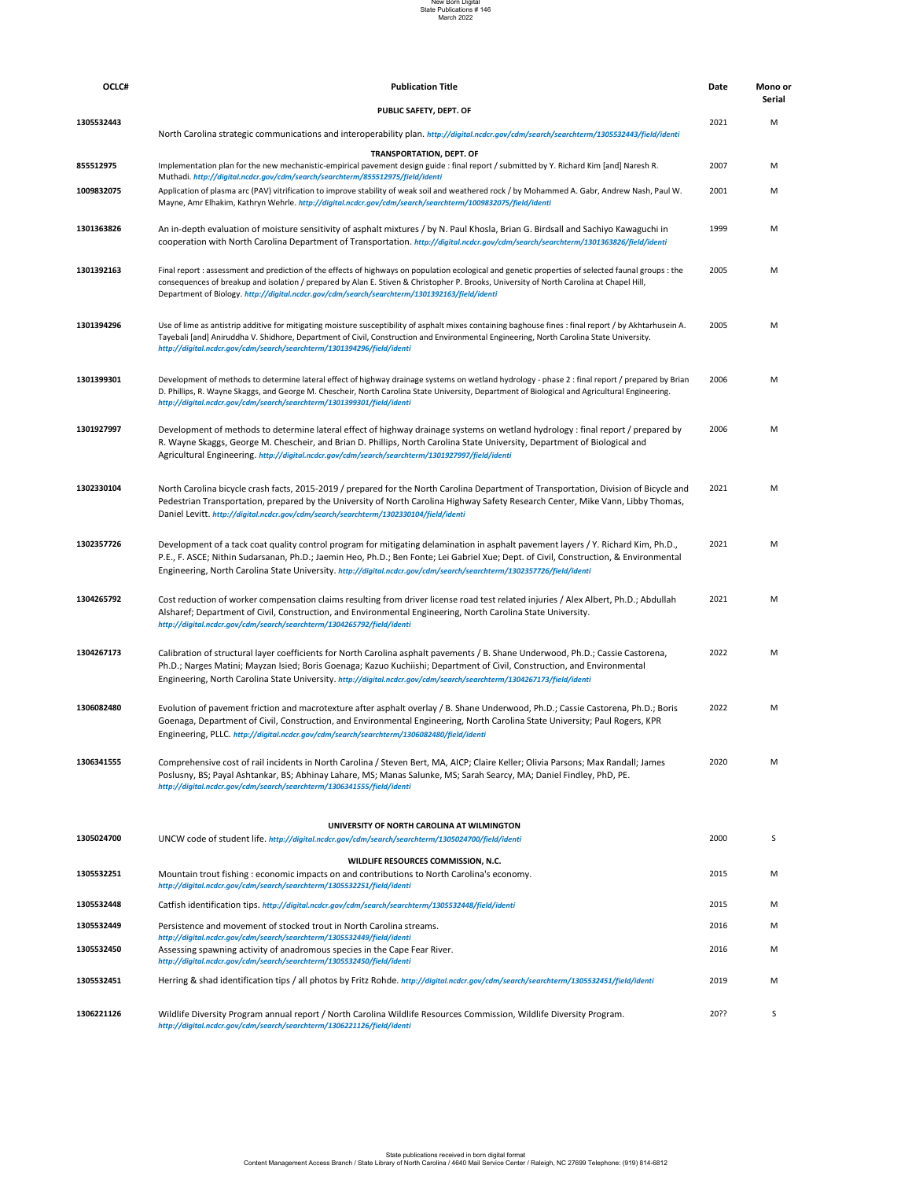| 1305532448 | Catfish identification tips. http://digital.ncdcr.gov/cdm/search/searchterm/1305532448/field/identi                                                                                            | 2015 | M |
|------------|------------------------------------------------------------------------------------------------------------------------------------------------------------------------------------------------|------|---|
| 1305532449 | Persistence and movement of stocked trout in North Carolina streams.<br>http://digital.ncdcr.gov/cdm/search/searchterm/1305532449/field/identi                                                 | 2016 | M |
| 1305532450 | Assessing spawning activity of anadromous species in the Cape Fear River.<br>http://digital.ncdcr.gov/cdm/search/searchterm/1305532450/field/identi                                            | 2016 | M |
| 1305532451 | Herring & shad identification tips / all photos by Fritz Rohde. http://digital.ncdcr.gov/cdm/search/searchterm/1305532451/field/identi                                                         | 2019 | M |
| 1306221126 | Wildlife Diversity Program annual report / North Carolina Wildlife Resources Commission, Wildlife Diversity Program.<br>http://digital.ncdcr.gov/cdm/search/searchterm/1306221126/field/identi | 20?? |   |

| OCLC#      | <b>Publication Title</b>                                                                                                                                                                                                                                                                                                                                                                            | Date | Mono or<br><b>Serial</b> |
|------------|-----------------------------------------------------------------------------------------------------------------------------------------------------------------------------------------------------------------------------------------------------------------------------------------------------------------------------------------------------------------------------------------------------|------|--------------------------|
|            | PUBLIC SAFETY, DEPT. OF                                                                                                                                                                                                                                                                                                                                                                             |      |                          |
| 1305532443 | North Carolina strategic communications and interoperability plan. http://digital.ncdcr.gov/cdm/search/searchterm/1305532443/field/identi                                                                                                                                                                                                                                                           | 2021 | M                        |
|            | <b>TRANSPORTATION, DEPT. OF</b>                                                                                                                                                                                                                                                                                                                                                                     |      |                          |
| 855512975  | Implementation plan for the new mechanistic-empirical pavement design guide: final report / submitted by Y. Richard Kim [and] Naresh R.<br>Muthadi. http://digital.ncdcr.gov/cdm/search/searchterm/855512975/field/identi                                                                                                                                                                           | 2007 | M                        |
| 1009832075 | Application of plasma arc (PAV) vitrification to improve stability of weak soil and weathered rock / by Mohammed A. Gabr, Andrew Nash, Paul W.<br>Mayne, Amr Elhakim, Kathryn Wehrle. http://digital.ncdcr.gov/cdm/search/searchterm/1009832075/field/identi                                                                                                                                        | 2001 | M                        |
| 1301363826 | An in-depth evaluation of moisture sensitivity of asphalt mixtures / by N. Paul Khosla, Brian G. Birdsall and Sachiyo Kawaguchi in<br>cooperation with North Carolina Department of Transportation. http://digital.ncdcr.gov/cdm/search/searchterm/1301363826/field/identi                                                                                                                          | 1999 | M                        |
| 1301392163 | Final report : assessment and prediction of the effects of highways on population ecological and genetic properties of selected faunal groups : the<br>consequences of breakup and isolation / prepared by Alan E. Stiven & Christopher P. Brooks, University of North Carolina at Chapel Hill,<br>Department of Biology. http://digital.ncdcr.gov/cdm/search/searchterm/1301392163/field/identi    | 2005 | M                        |
| 1301394296 | Use of lime as antistrip additive for mitigating moisture susceptibility of asphalt mixes containing baghouse fines : final report / by Akhtarhusein A.<br>Tayebali [and] Aniruddha V. Shidhore, Department of Civil, Construction and Environmental Engineering, North Carolina State University.<br>http://digital.ncdcr.gov/cdm/search/searchterm/1301394296/field/identi                        | 2005 | M                        |
| 1301399301 | Development of methods to determine lateral effect of highway drainage systems on wetland hydrology - phase 2: final report / prepared by Brian<br>D. Phillips, R. Wayne Skaggs, and George M. Chescheir, North Carolina State University, Department of Biological and Agricultural Engineering.<br>http://digital.ncdcr.gov/cdm/search/searchterm/1301399301/field/identi                         | 2006 | M                        |
| 1301927997 | Development of methods to determine lateral effect of highway drainage systems on wetland hydrology: final report / prepared by<br>R. Wayne Skaggs, George M. Chescheir, and Brian D. Phillips, North Carolina State University, Department of Biological and<br>Agricultural Engineering. http://digital.ncdcr.gov/cdm/search/searchterm/1301927997/field/identi                                   | 2006 | M                        |
| 1302330104 | North Carolina bicycle crash facts, 2015-2019 / prepared for the North Carolina Department of Transportation, Division of Bicycle and<br>Pedestrian Transportation, prepared by the University of North Carolina Highway Safety Research Center, Mike Vann, Libby Thomas,<br>Daniel Levitt. http://digital.ncdcr.gov/cdm/search/searchterm/1302330104/field/identi                                  | 2021 | M                        |
| 1302357726 | Development of a tack coat quality control program for mitigating delamination in asphalt pavement layers / Y. Richard Kim, Ph.D.,<br>P.E., F. ASCE; Nithin Sudarsanan, Ph.D.; Jaemin Heo, Ph.D.; Ben Fonte; Lei Gabriel Xue; Dept. of Civil, Construction, & Environmental<br>Engineering, North Carolina State University. http://digital.ncdcr.gov/cdm/search/searchterm/1302357726/field/identi | 2021 | M                        |
| 1304265792 | Cost reduction of worker compensation claims resulting from driver license road test related injuries / Alex Albert, Ph.D.; Abdullah<br>Alsharef; Department of Civil, Construction, and Environmental Engineering, North Carolina State University.<br>http://digital.ncdcr.gov/cdm/search/searchterm/1304265792/field/identi                                                                      | 2021 | M                        |
| 1304267173 | Calibration of structural layer coefficients for North Carolina asphalt pavements / B. Shane Underwood, Ph.D.; Cassie Castorena,<br>Ph.D.; Narges Matini; Mayzan Isied; Boris Goenaga; Kazuo Kuchiishi; Department of Civil, Construction, and Environmental<br>Engineering, North Carolina State University. http://digital.ncdcr.gov/cdm/search/searchterm/1304267173/field/identi                | 2022 | M                        |
| 1306082480 | Evolution of pavement friction and macrotexture after asphalt overlay / B. Shane Underwood, Ph.D.; Cassie Castorena, Ph.D.; Boris<br>Goenaga, Department of Civil, Construction, and Environmental Engineering, North Carolina State University; Paul Rogers, KPR                                                                                                                                   | 2022 | M                        |

| 1306341555 | Comprehensive cost of rail incidents in North Carolina / Steven Bert, MA, AICP; Claire Keller; Olivia Parsons; Max Randall; James | 2020 |  |
|------------|-----------------------------------------------------------------------------------------------------------------------------------|------|--|
|            | Poslusny, BS; Payal Ashtankar, BS; Abhinay Lahare, MS; Manas Salunke, MS; Sarah Searcy, MA; Daniel Findley, PhD, PE.              |      |  |
|            | http://digital.ncdcr.gov/cdm/search/searchterm/1306341555/field/identi                                                            |      |  |

# **1305024700** 2000 S UNCW code of student life. *http://digital.ncdcr.gov/cdm/search/searchterm/1305024700/field/identi* **1305532251** 2015 M Mountain trout fishing : economic impacts on and contributions to North Carolina's economy. **UNIVERSITY OF NORTH CAROLINA AT WILMINGTON WILDLIFE RESOURCES COMMISSION, N.C.** *http://digital.ncdcr.gov/cdm/search/searchterm/1305532251/field/identi*

Engineering, PLLC. *http://digital.ncdcr.gov/cdm/search/searchterm/1306082480/field/identi*

### New Born Digital State Publications # 146 March 2022